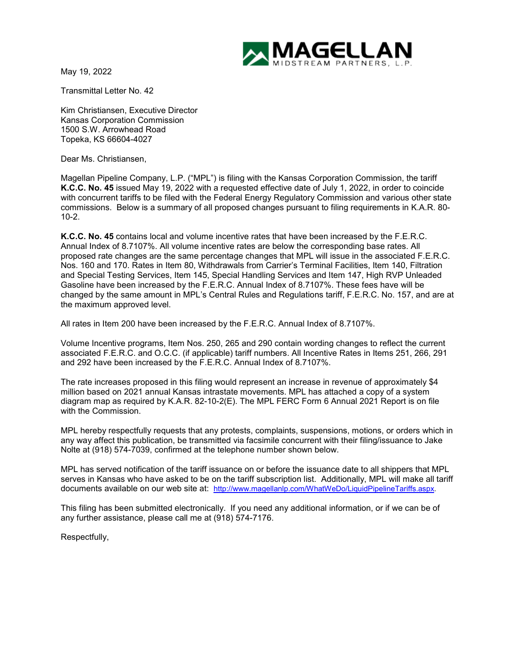

May 19, 2022

Transmittal Letter No. 42

Kim Christiansen, Executive Director Kansas Corporation Commission 1500 S.W. Arrowhead Road Topeka, KS 66604-4027

Dear Ms. Christiansen,

Magellan Pipeline Company, L.P. ("MPL") is filing with the Kansas Corporation Commission, the tariff **K.C.C. No. 45** issued May 19, 2022 with a requested effective date of July 1, 2022, in order to coincide with concurrent tariffs to be filed with the Federal Energy Regulatory Commission and various other state commissions. Below is a summary of all proposed changes pursuant to filing requirements in K.A.R. 80- 10-2.

**K.C.C. No. 45** contains local and volume incentive rates that have been increased by the F.E.R.C. Annual Index of 8.7107%. All volume incentive rates are below the corresponding base rates. All proposed rate changes are the same percentage changes that MPL will issue in the associated F.E.R.C. Nos. 160 and 170. Rates in Item 80, Withdrawals from Carrier's Terminal Facilities, Item 140, Filtration and Special Testing Services, Item 145, Special Handling Services and Item 147, High RVP Unleaded Gasoline have been increased by the F.E.R.C. Annual Index of 8.7107%. These fees have will be changed by the same amount in MPL's Central Rules and Regulations tariff, F.E.R.C. No. 157, and are at the maximum approved level.

All rates in Item 200 have been increased by the F.E.R.C. Annual Index of 8.7107%.

Volume Incentive programs, Item Nos. 250, 265 and 290 contain wording changes to reflect the current associated F.E.R.C. and O.C.C. (if applicable) tariff numbers. All Incentive Rates in Items 251, 266, 291 and 292 have been increased by the F.E.R.C. Annual Index of 8.7107%.

The rate increases proposed in this filing would represent an increase in revenue of approximately \$4 million based on 2021 annual Kansas intrastate movements. MPL has attached a copy of a system diagram map as required by K.A.R. 82-10-2(E). The MPL FERC Form 6 Annual 2021 Report is on file with the Commission.

MPL hereby respectfully requests that any protests, complaints, suspensions, motions, or orders which in any way affect this publication, be transmitted via facsimile concurrent with their filing/issuance to Jake Nolte at (918) 574-7039, confirmed at the telephone number shown below.

MPL has served notification of the tariff issuance on or before the issuance date to all shippers that MPL serves in Kansas who have asked to be on the tariff subscription list. Additionally, MPL will make all tariff documents available on our web site at: [http://www.magellanlp.com/WhatWeDo/LiquidPipelineTariffs.aspx.](http://www.magellanlp.com/WhatWeDo/LiquidPipelineTariffs.aspx)

This filing has been submitted electronically. If you need any additional information, or if we can be of any further assistance, please call me at (918) 574-7176.

Respectfully,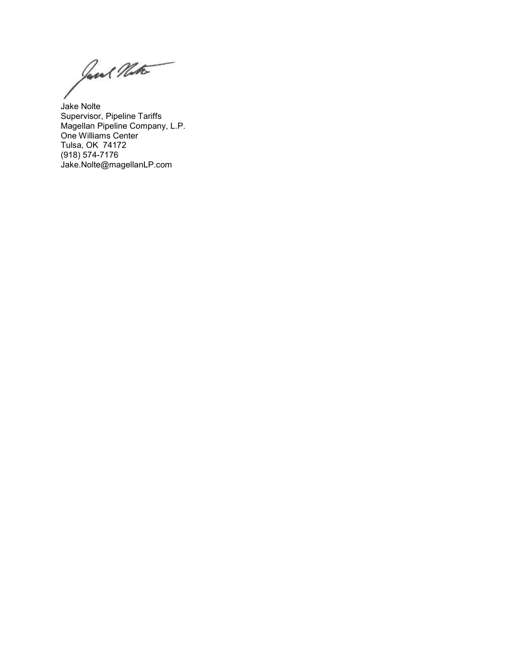Jane Matte

Jake Nolte Supervisor, Pipeline Tariffs Magellan Pipeline Company, L.P. One Williams Center Tulsa, OK 74172 (918) 574-7176 Jake.Nolte@magellanLP.com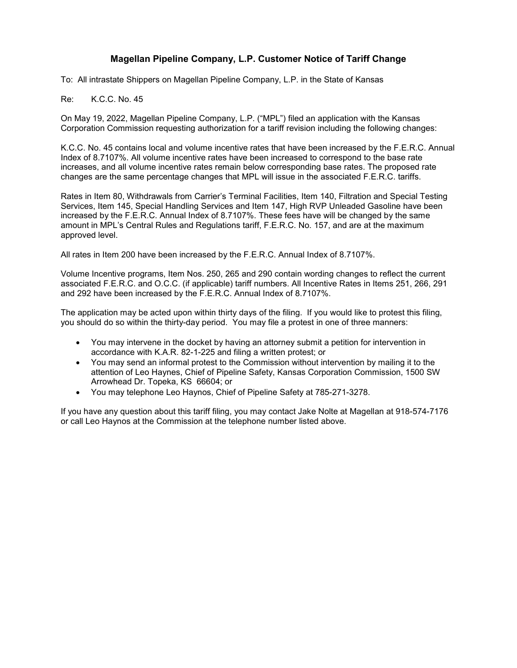### **Magellan Pipeline Company, L.P. Customer Notice of Tariff Change**

To: All intrastate Shippers on Magellan Pipeline Company, L.P. in the State of Kansas

Re: K.C.C. No. 45

On May 19, 2022, Magellan Pipeline Company, L.P. ("MPL") filed an application with the Kansas Corporation Commission requesting authorization for a tariff revision including the following changes:

K.C.C. No. 45 contains local and volume incentive rates that have been increased by the F.E.R.C. Annual Index of 8.7107%. All volume incentive rates have been increased to correspond to the base rate increases, and all volume incentive rates remain below corresponding base rates. The proposed rate changes are the same percentage changes that MPL will issue in the associated F.E.R.C. tariffs.

Rates in Item 80, Withdrawals from Carrier's Terminal Facilities, Item 140, Filtration and Special Testing Services, Item 145, Special Handling Services and Item 147, High RVP Unleaded Gasoline have been increased by the F.E.R.C. Annual Index of 8.7107%. These fees have will be changed by the same amount in MPL's Central Rules and Regulations tariff, F.E.R.C. No. 157, and are at the maximum approved level.

All rates in Item 200 have been increased by the F.E.R.C. Annual Index of 8.7107%.

Volume Incentive programs, Item Nos. 250, 265 and 290 contain wording changes to reflect the current associated F.E.R.C. and O.C.C. (if applicable) tariff numbers. All Incentive Rates in Items 251, 266, 291 and 292 have been increased by the F.E.R.C. Annual Index of 8.7107%.

The application may be acted upon within thirty days of the filing. If you would like to protest this filing, you should do so within the thirty-day period. You may file a protest in one of three manners:

- You may intervene in the docket by having an attorney submit a petition for intervention in accordance with K.A.R. 82-1-225 and filing a written protest; or
- You may send an informal protest to the Commission without intervention by mailing it to the attention of Leo Haynes, Chief of Pipeline Safety, Kansas Corporation Commission, 1500 SW Arrowhead Dr. Topeka, KS 66604; or
- You may telephone Leo Haynos, Chief of Pipeline Safety at 785-271-3278.

If you have any question about this tariff filing, you may contact Jake Nolte at Magellan at 918-574-7176 or call Leo Haynos at the Commission at the telephone number listed above.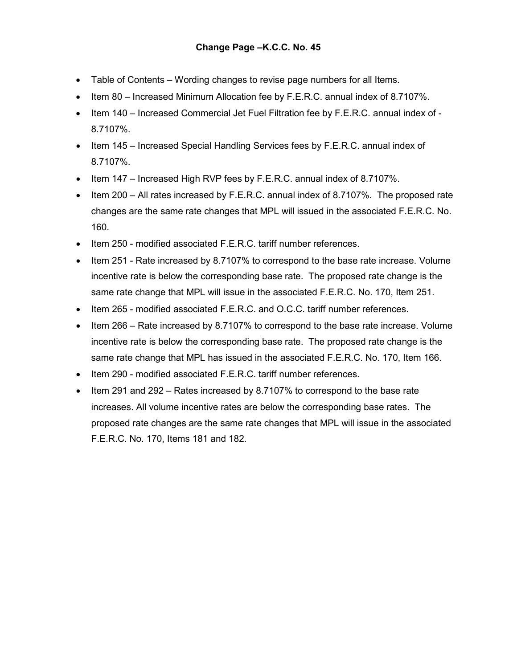- Table of Contents Wording changes to revise page numbers for all Items.
- Item 80 Increased Minimum Allocation fee by F.E.R.C. annual index of 8.7107%.
- Item 140 Increased Commercial Jet Fuel Filtration fee by F.E.R.C. annual index of 8.7107%.
- Item 145 Increased Special Handling Services fees by F.E.R.C. annual index of 8.7107%.
- Item 147 Increased High RVP fees by F.E.R.C. annual index of 8.7107%.
- Item 200 All rates increased by F.E.R.C. annual index of 8.7107%. The proposed rate changes are the same rate changes that MPL will issued in the associated F.E.R.C. No. 160.
- Item 250 modified associated F.E.R.C. tariff number references.
- Item 251 Rate increased by 8.7107% to correspond to the base rate increase. Volume incentive rate is below the corresponding base rate. The proposed rate change is the same rate change that MPL will issue in the associated F.E.R.C. No. 170, Item 251.
- Item 265 modified associated F.E.R.C. and O.C.C. tariff number references.
- Item 266 Rate increased by 8.7107% to correspond to the base rate increase. Volume incentive rate is below the corresponding base rate. The proposed rate change is the same rate change that MPL has issued in the associated F.E.R.C. No. 170, Item 166.
- Item 290 modified associated F.E.R.C. tariff number references.
- Item 291 and 292 Rates increased by 8.7107% to correspond to the base rate increases. All volume incentive rates are below the corresponding base rates. The proposed rate changes are the same rate changes that MPL will issue in the associated F.E.R.C. No. 170, Items 181 and 182.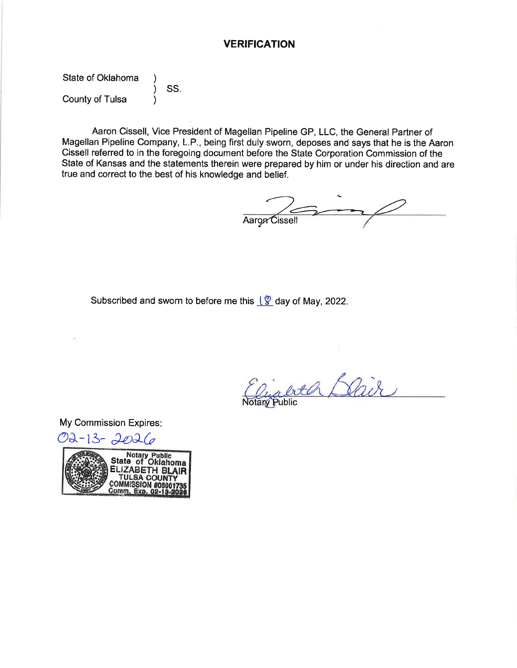### **VERIFICATION**

State of Oklahoma SS. County of Tulsa

Aaron Cissell, Vice President of Magellan Pipeline GP, LLC, the General Partner of Magellan Pipeline Company, L.P., being first duly sworn, deposes and says that he is the Aaron Cissell referred to in the foregoing document before the State Corporation Commission of the State of Kansas and the statements therein were prepared by him or under his direction and are true and correct to the best of his knowledge and belief.

Aaron Cissell

Subscribed and sworn to before me this  $\sqrt{2}$  day of May, 2022.

oth Bair

My Commission Expires:

O2-13-2026

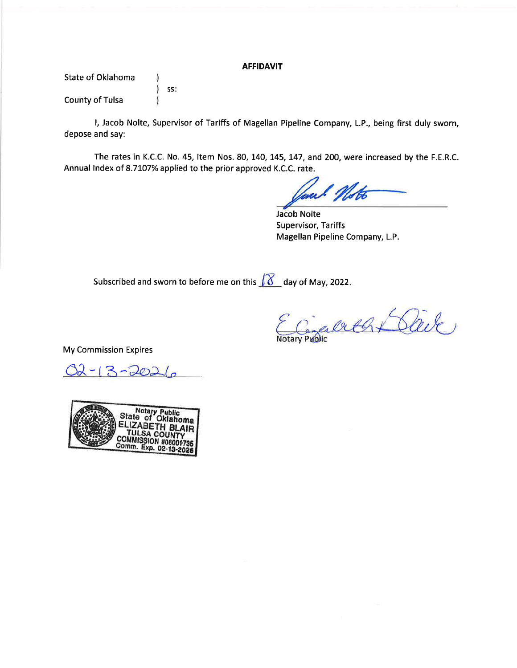#### **AFFIDAVIT**

State of Oklahoma  $\lambda$  $\mathcal{E}$ SS: **County of Tulsa** Δ

I, Jacob Nolte, Supervisor of Tariffs of Magellan Pipeline Company, L.P., being first duly sworn, depose and say:

The rates in K.C.C. No. 45, Item Nos. 80, 140, 145, 147, and 200, were increased by the F.E.R.C. Annual Index of 8.7107% applied to the prior approved K.C.C. rate.

**Jacob Nolte Supervisor, Tariffs** Magellan Pipeline Company, L.P.

Subscribed and sworn to before me on this  $\sqrt{8}$  day of May, 2022.

Cenaule At Clère

**My Commission Expires** 

 $22 - 13 - 202$ 

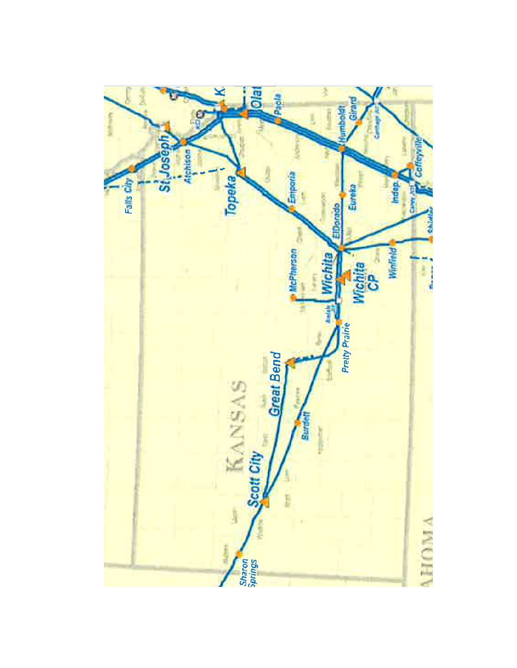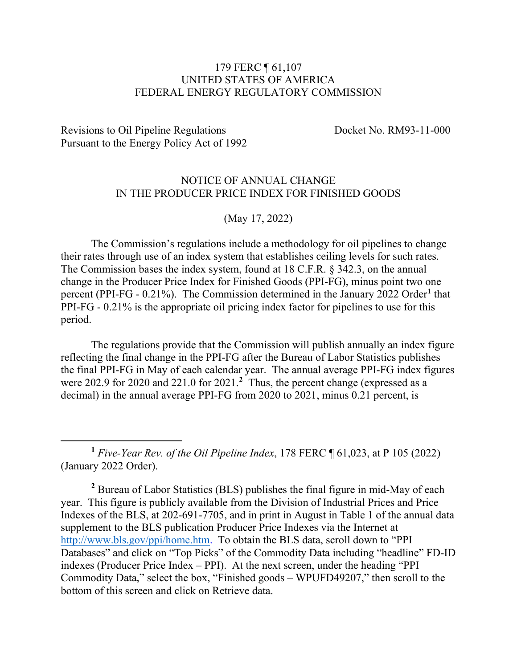# 179 FERC ¶ 61,107 UNITED STATES OF AMERICA FEDERAL ENERGY REGULATORY COMMISSION

Revisions to Oil Pipeline Regulations Docket No. RM93-11-000 Pursuant to the Energy Policy Act of 1992

 $\overline{a}$ 

# NOTICE OF ANNUAL CHANGE IN THE PRODUCER PRICE INDEX FOR FINISHED GOODS

(May 17, 2022)

The Commission's regulations include a methodology for oil pipelines to change their rates through use of an index system that establishes ceiling levels for such rates. The Commission bases the index system, found at 18 C.F.R. § 342.3, on the annual change in the Producer Price Index for Finished Goods (PPI-FG), minus point two one percent (PPI-FG - 0.21%). The Commission determined in the January 2022 Order**[1](#page-7-0)** that PPI-FG - 0.21% is the appropriate oil pricing index factor for pipelines to use for this period.

The regulations provide that the Commission will publish annually an index figure reflecting the final change in the PPI-FG after the Bureau of Labor Statistics publishes the final PPI-FG in May of each calendar year. The annual average PPI-FG index figures were [2](#page-7-1)02.9 for 2020 and 221.0 for 2021.<sup>2</sup> Thus, the percent change (expressed as a decimal) in the annual average PPI-FG from 2020 to 2021, minus 0.21 percent, is

<span id="page-7-0"></span>**<sup>1</sup>** *Five-Year Rev. of the Oil Pipeline Index*, 178 FERC ¶ 61,023, at P 105 (2022) (January 2022 Order).

<span id="page-7-1"></span>**<sup>2</sup>** Bureau of Labor Statistics (BLS) publishes the final figure in mid-May of each year. This figure is publicly available from the Division of Industrial Prices and Price Indexes of the BLS, at 202-691-7705, and in print in August in Table 1 of the annual data supplement to the BLS publication Producer Price Indexes via the Internet at [http://www.bls.gov/ppi/home.htm.](http://www.bls.gov/ppi/home.htm) To obtain the BLS data, scroll down to "PPI Databases" and click on "Top Picks" of the Commodity Data including "headline" FD-ID indexes (Producer Price Index – PPI). At the next screen, under the heading "PPI Commodity Data," select the box, "Finished goods – WPUFD49207," then scroll to the bottom of this screen and click on Retrieve data.